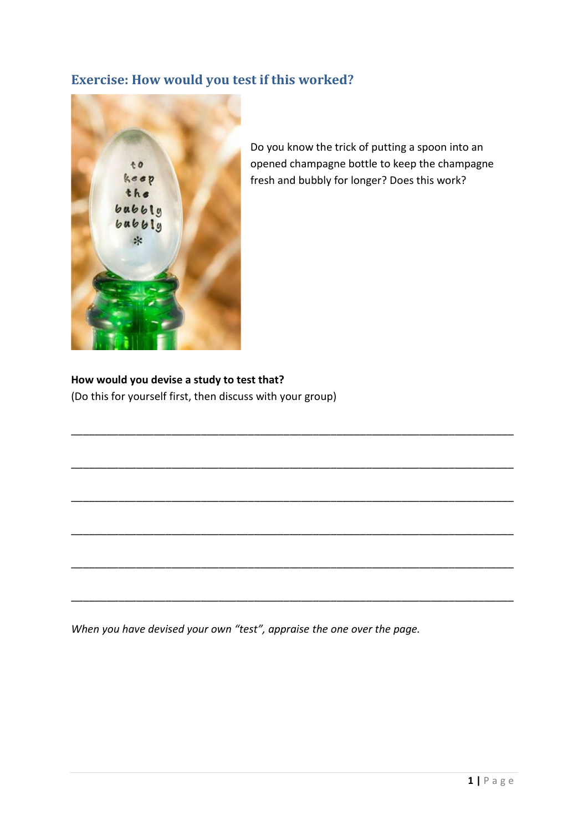## **Exercise: How would you test if this worked?**



Do you know the trick of putting a spoon into an opened champagne bottle to keep the champagne fresh and bubbly for longer? Does this work?

## **How would you devise a study to test that?**

(Do this for yourself first, then discuss with your group)

*When you have devised your own "test", appraise the one over the page.*

\_\_\_\_\_\_\_\_\_\_\_\_\_\_\_\_\_\_\_\_\_\_\_\_\_\_\_\_\_\_\_\_\_\_\_\_\_\_\_\_\_\_\_\_\_\_\_\_\_\_\_\_\_\_\_\_\_\_\_\_\_\_\_\_\_\_\_\_\_\_\_\_\_\_\_

\_\_\_\_\_\_\_\_\_\_\_\_\_\_\_\_\_\_\_\_\_\_\_\_\_\_\_\_\_\_\_\_\_\_\_\_\_\_\_\_\_\_\_\_\_\_\_\_\_\_\_\_\_\_\_\_\_\_\_\_\_\_\_\_\_\_\_\_\_\_\_\_\_\_\_

\_\_\_\_\_\_\_\_\_\_\_\_\_\_\_\_\_\_\_\_\_\_\_\_\_\_\_\_\_\_\_\_\_\_\_\_\_\_\_\_\_\_\_\_\_\_\_\_\_\_\_\_\_\_\_\_\_\_\_\_\_\_\_\_\_\_\_\_\_\_\_\_\_\_\_

\_\_\_\_\_\_\_\_\_\_\_\_\_\_\_\_\_\_\_\_\_\_\_\_\_\_\_\_\_\_\_\_\_\_\_\_\_\_\_\_\_\_\_\_\_\_\_\_\_\_\_\_\_\_\_\_\_\_\_\_\_\_\_\_\_\_\_\_\_\_\_\_\_\_\_

\_\_\_\_\_\_\_\_\_\_\_\_\_\_\_\_\_\_\_\_\_\_\_\_\_\_\_\_\_\_\_\_\_\_\_\_\_\_\_\_\_\_\_\_\_\_\_\_\_\_\_\_\_\_\_\_\_\_\_\_\_\_\_\_\_\_\_\_\_\_\_\_\_\_\_

\_\_\_\_\_\_\_\_\_\_\_\_\_\_\_\_\_\_\_\_\_\_\_\_\_\_\_\_\_\_\_\_\_\_\_\_\_\_\_\_\_\_\_\_\_\_\_\_\_\_\_\_\_\_\_\_\_\_\_\_\_\_\_\_\_\_\_\_\_\_\_\_\_\_\_